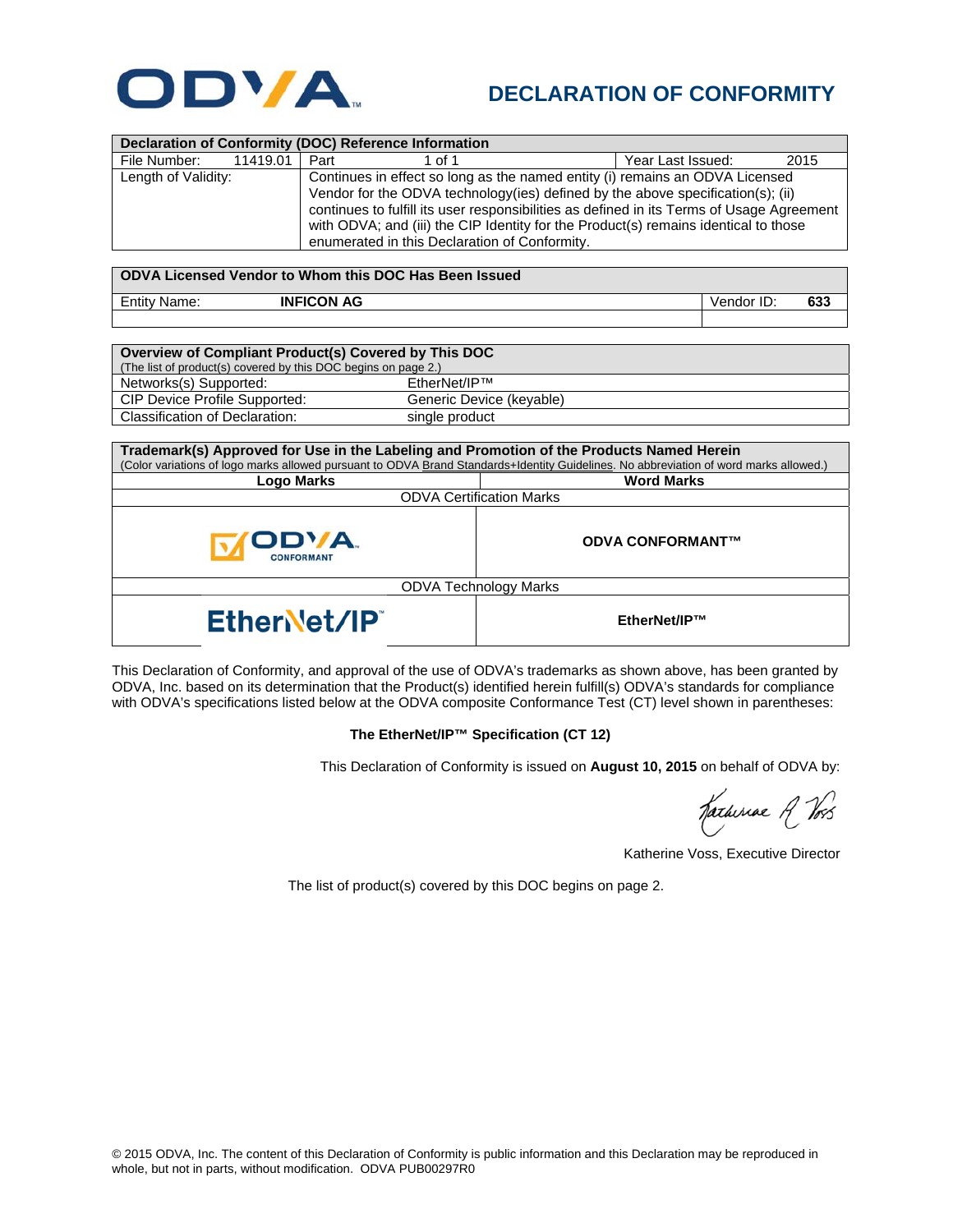

## **DECLARATION OF CONFORMITY**

| <b>Declaration of Conformity (DOC) Reference Information</b>                                                                                                                                                                      |                                                                                           |  |                   |            |      |  |  |
|-----------------------------------------------------------------------------------------------------------------------------------------------------------------------------------------------------------------------------------|-------------------------------------------------------------------------------------------|--|-------------------|------------|------|--|--|
| File Number:<br>11419.01                                                                                                                                                                                                          | Part<br>1 of 1                                                                            |  | Year Last Issued: |            | 2015 |  |  |
| Length of Validity:                                                                                                                                                                                                               | Continues in effect so long as the named entity (i) remains an ODVA Licensed              |  |                   |            |      |  |  |
|                                                                                                                                                                                                                                   | Vendor for the ODVA technology(ies) defined by the above specification(s); (ii)           |  |                   |            |      |  |  |
|                                                                                                                                                                                                                                   | continues to fulfill its user responsibilities as defined in its Terms of Usage Agreement |  |                   |            |      |  |  |
|                                                                                                                                                                                                                                   | with ODVA; and (iii) the CIP Identity for the Product(s) remains identical to those       |  |                   |            |      |  |  |
|                                                                                                                                                                                                                                   | enumerated in this Declaration of Conformity.                                             |  |                   |            |      |  |  |
|                                                                                                                                                                                                                                   |                                                                                           |  |                   |            |      |  |  |
| ODVA Licensed Vendor to Whom this DOC Has Been Issued                                                                                                                                                                             |                                                                                           |  |                   |            |      |  |  |
| <b>INFICON AG</b><br><b>Entity Name:</b>                                                                                                                                                                                          |                                                                                           |  |                   | Vendor ID: | 633  |  |  |
|                                                                                                                                                                                                                                   |                                                                                           |  |                   |            |      |  |  |
|                                                                                                                                                                                                                                   |                                                                                           |  |                   |            |      |  |  |
| Overview of Compliant Product(s) Covered by This DOC                                                                                                                                                                              |                                                                                           |  |                   |            |      |  |  |
| (The list of product(s) covered by this DOC begins on page 2.)                                                                                                                                                                    |                                                                                           |  |                   |            |      |  |  |
| EtherNet/IP™<br>Networks(s) Supported:                                                                                                                                                                                            |                                                                                           |  |                   |            |      |  |  |
| CIP Device Profile Supported:<br>Generic Device (keyable)                                                                                                                                                                         |                                                                                           |  |                   |            |      |  |  |
| <b>Classification of Declaration:</b><br>single product                                                                                                                                                                           |                                                                                           |  |                   |            |      |  |  |
|                                                                                                                                                                                                                                   |                                                                                           |  |                   |            |      |  |  |
| Trademark(s) Approved for Use in the Labeling and Promotion of the Products Named Herein<br>(Color variations of logo marks allowed pursuant to ODVA Brand Standards+Identity Guidelines. No abbreviation of word marks allowed.) |                                                                                           |  |                   |            |      |  |  |
| <b>Logo Marks</b>                                                                                                                                                                                                                 | <b>Word Marks</b>                                                                         |  |                   |            |      |  |  |
| <b>ODVA Certification Marks</b>                                                                                                                                                                                                   |                                                                                           |  |                   |            |      |  |  |
|                                                                                                                                                                                                                                   |                                                                                           |  |                   |            |      |  |  |
|                                                                                                                                                                                                                                   |                                                                                           |  |                   |            |      |  |  |
|                                                                                                                                                                                                                                   | <b>ODVA CONFORMANT™</b>                                                                   |  |                   |            |      |  |  |
| <b>ONFORMAN</b>                                                                                                                                                                                                                   |                                                                                           |  |                   |            |      |  |  |
| <b>ODVA Technology Marks</b>                                                                                                                                                                                                      |                                                                                           |  |                   |            |      |  |  |
|                                                                                                                                                                                                                                   |                                                                                           |  |                   |            |      |  |  |
| EtherNet/IP                                                                                                                                                                                                                       |                                                                                           |  | EtherNet/IP™      |            |      |  |  |
|                                                                                                                                                                                                                                   |                                                                                           |  |                   |            |      |  |  |

This Declaration of Conformity, and approval of the use of ODVA's trademarks as shown above, has been granted by ODVA, Inc. based on its determination that the Product(s) identified herein fulfill(s) ODVA's standards for compliance with ODVA's specifications listed below at the ODVA composite Conformance Test (CT) level shown in parentheses:

## **The EtherNet/IP™ Specification (CT 12)**

This Declaration of Conformity is issued on **August 10, 2015** on behalf of ODVA by:

Katheriae R Vos

Katherine Voss, Executive Director

The list of product(s) covered by this DOC begins on page 2.